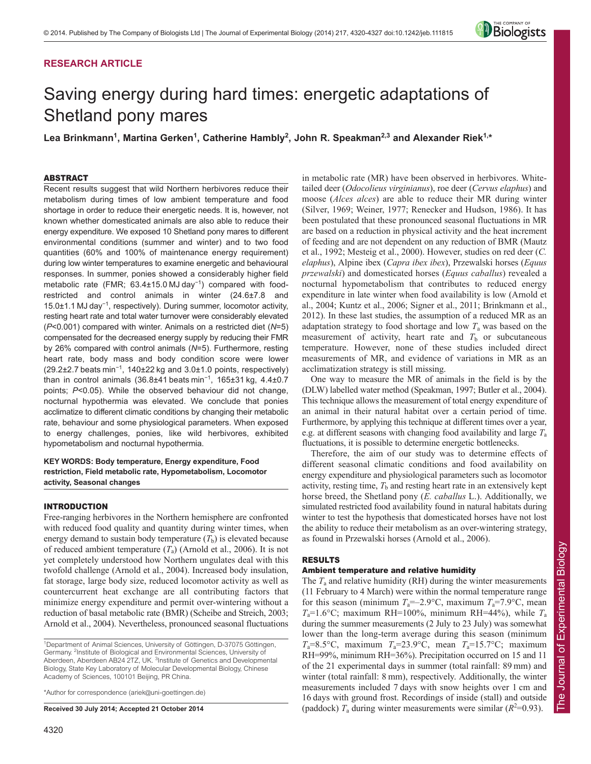# **RESEARCH ARTICLE**



# Saving energy during hard times: energetic adaptations of Shetland pony mares

Lea Brinkmann<sup>1</sup>, Martina Gerken<sup>1</sup>, Catherine Hambly<sup>2</sup>, John R. Speakman<sup>2,3</sup> and Alexander Riek<sup>1,</sup>\*

# ABSTRACT

Recent results suggest that wild Northern herbivores reduce their metabolism during times of low ambient temperature and food shortage in order to reduce their energetic needs. It is, however, not known whether domesticated animals are also able to reduce their energy expenditure. We exposed 10 Shetland pony mares to different environmental conditions (summer and winter) and to two food quantities (60% and 100% of maintenance energy requirement) during low winter temperatures to examine energetic and behavioural responses. In summer, ponies showed a considerably higher field metabolic rate (FMR; 63.4±15.0 MJ day<sup>-1</sup>) compared with foodrestricted and control animals in winter (24.6±7.8 and 15.0±1.1 MJ day<sup>−</sup><sup>1</sup> , respectively). During summer, locomotor activity, resting heart rate and total water turnover were considerably elevated (*P*<0.001) compared with winter. Animals on a restricted diet (*N*=5) compensated for the decreased energy supply by reducing their FMR by 26% compared with control animals (*N*=5). Furthermore, resting heart rate, body mass and body condition score were lower (29.2±2.7 beats min<sup>−</sup><sup>1</sup> , 140±22 kg and 3.0±1.0 points, respectively) than in control animals (36.8±41 beats min<sup>-1</sup>, 165±31 kg, 4.4±0.7 points; *P*<0.05). While the observed behaviour did not change, nocturnal hypothermia was elevated. We conclude that ponies acclimatize to different climatic conditions by changing their metabolic rate, behaviour and some physiological parameters. When exposed to energy challenges, ponies, like wild herbivores, exhibited hypometabolism and nocturnal hypothermia.

# **KEY WORDS: Body temperature, Energy expenditure, Food restriction, Field metabolic rate, Hypometabolism, Locomotor activity, Seasonal changes**

# INTRODUCTION

Free-ranging herbivores in the Northern hemisphere are confronted with reduced food quality and quantity during winter times, when energy demand to sustain body temperature  $(T<sub>b</sub>)$  is elevated because of reduced ambient temperature (*T*a) (Arnold et al., 2006). It is not yet completely understood how Northern ungulates deal with this twofold challenge (Arnold et al., 2004). Increased body insulation, fat storage, large body size, reduced locomotor activity as well as countercurrent heat exchange are all contributing factors that minimize energy expenditure and permit over-wintering without a reduction of basal metabolic rate (BMR) (Scheibe and Streich, 2003; Arnold et al., 2004). Nevertheless, pronounced seasonal fluctuations

\*Author for correspondence (ariek@uni-goettingen.de)

**Received 30 July 2014; Accepted 21 October 2014**

in metabolic rate (MR) have been observed in herbivores. Whitetailed deer (*Odocolieus virginianus*), roe deer (*Cervus elaphus*) and moose (*Alces alces*) are able to reduce their MR during winter (Silver, 1969; Weiner, 1977; Renecker and Hudson, 1986). It has been postulated that these pronounced seasonal fluctuations in MR are based on a reduction in physical activity and the heat increment of feeding and are not dependent on any reduction of BMR (Mautz et al., 1992; Mesteig et al., 2000). However, studies on red deer (*C. elaphus*), Alpine ibex (*Capra ibex ibex*), Przewalski horses (*Equus przewalski*) and domesticated horses (*Equus caballus*) revealed a nocturnal hypometabolism that contributes to reduced energy expenditure in late winter when food availability is low (Arnold et al., 2004; Kuntz et al., 2006; Signer et al., 2011; Brinkmann et al., 2012). In these last studies, the assumption of a reduced MR as an adaptation strategy to food shortage and low *T*<sup>a</sup> was based on the measurement of activity, heart rate and  $T<sub>b</sub>$  or subcutaneous temperature. However, none of these studies included direct measurements of MR, and evidence of variations in MR as an acclimatization strategy is still missing.

One way to measure the MR of animals in the field is by the (DLW) labelled water method (Speakman, 1997; Butler et al., 2004). This technique allows the measurement of total energy expenditure of an animal in their natural habitat over a certain period of time. Furthermore, by applying this technique at different times over a year, e.g. at different seasons with changing food availability and large *T*<sup>a</sup> fluctuations, it is possible to determine energetic bottlenecks.

Therefore, the aim of our study was to determine effects of different seasonal climatic conditions and food availability on energy expenditure and physiological parameters such as locomotor activity, resting time,  $T<sub>b</sub>$  and resting heart rate in an extensively kept horse breed, the Shetland pony (*E. caballus* L.). Additionally, we simulated restricted food availability found in natural habitats during winter to test the hypothesis that domesticated horses have not lost the ability to reduce their metabolism as an over-wintering strategy, as found in Przewalski horses (Arnold et al., 2006).

# RESULTS

# Ambient temperature and relative humidity

The *T*<sup>a</sup> and relative humidity (RH) during the winter measurements (11 February to 4 March) were within the normal temperature range for this season (minimum  $T_a = -2.9$ °C, maximum  $T_a = 7.9$ °C, mean  $T_a=1.6$ °C; maximum RH=100%, minimum RH=44%), while  $T_a$ during the summer measurements (2 July to 23 July) was somewhat lower than the long-term average during this season (minimum  $T_a=8.5\text{°C}$ , maximum  $T_a=23.9\text{°C}$ , mean  $T_a=15.7\text{°C}$ ; maximum RH=99%, minimum RH=36%). Precipitation occurred on 15 and 11 of the 21 experimental days in summer (total rainfall: 89 mm) and winter (total rainfall: 8 mm), respectively. Additionally, the winter measurements included 7 days with snow heights over 1 cm and 16 days with ground frost. Recordings of inside (stall) and outside (paddock)  $T_a$  during winter measurements were similar ( $R^2$ =0.93).

<sup>&</sup>lt;sup>1</sup>Department of Animal Sciences, University of Göttingen, D-37075 Göttingen, Germany. <sup>2</sup>Institute of Biological and Environmental Sciences, University of Aberdeen, Aberdeen AB24 2TZ, UK. <sup>3</sup>Institute of Genetics and Developmental Biology, State Key Laboratory of Molecular Developmental Biology, Chinese Academy of Sciences, 100101 Beijing, PR China.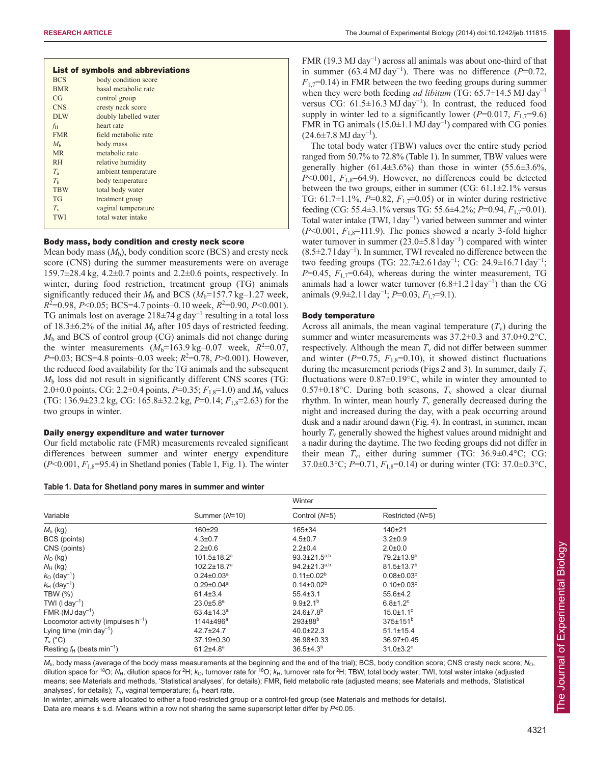| List of symbols and abbreviations |                       |  |  |  |  |  |  |
|-----------------------------------|-----------------------|--|--|--|--|--|--|
| <b>BCS</b>                        | body condition score  |  |  |  |  |  |  |
| <b>BMR</b>                        | basal metabolic rate  |  |  |  |  |  |  |
| CG                                | control group         |  |  |  |  |  |  |
| <b>CNS</b>                        | cresty neck score     |  |  |  |  |  |  |
| DLW                               | doubly labelled water |  |  |  |  |  |  |
| $f_{\rm H}$                       | heart rate            |  |  |  |  |  |  |
| <b>FMR</b>                        | field metabolic rate  |  |  |  |  |  |  |
| $M_{h}$                           | body mass             |  |  |  |  |  |  |
| <b>MR</b>                         | metabolic rate        |  |  |  |  |  |  |
| <b>RH</b>                         | relative humidity     |  |  |  |  |  |  |
| $T_{\rm a}$                       | ambient temperature   |  |  |  |  |  |  |
| T <sub>h</sub>                    | body temperature      |  |  |  |  |  |  |
| <b>TBW</b>                        | total body water      |  |  |  |  |  |  |
| <b>TG</b>                         | treatment group       |  |  |  |  |  |  |
| $T_{\rm v}$                       | vaginal temperature   |  |  |  |  |  |  |
| <b>TWI</b>                        | total water intake    |  |  |  |  |  |  |
|                                   |                       |  |  |  |  |  |  |

# Body mass, body condition and cresty neck score

Mean body mass  $(M_b)$ , body condition score (BCS) and cresty neck score (CNS) during the summer measurements were on average 159.7 $\pm$ 28.4 kg, 4.2 $\pm$ 0.7 points and 2.2 $\pm$ 0.6 points, respectively. In winter, during food restriction, treatment group (TG) animals significantly reduced their  $M_b$  and BCS ( $M_b$ =157.7 kg–1.27 week,  $R^2$ =0.98, *P*<0.05; BCS=4.7 points–0.10 week,  $R^2$ =0.90, *P*<0.001). TG animals lost on average 218±74 g day<sup>−</sup><sup>1</sup> resulting in a total loss of 18.3 $\pm$ 6.2% of the initial  $M<sub>b</sub>$  after 105 days of restricted feeding. *M*<sup>b</sup> and BCS of control group (CG) animals did not change during the winter measurements  $(M_b=163.9 \text{ kg}-0.07 \text{ week}, R^2=0.07,$ *P*=0.03; BCS=4.8 points–0.03 week;  $R^2$ =0.78, *P*>0.001). However, the reduced food availability for the TG animals and the subsequent  $M<sub>b</sub>$  loss did not result in significantly different CNS scores (TG: 2.0 $\pm$ 0.0 points, CG: 2.2 $\pm$ 0.4 points, *P*=0.35;  $F_{1,8}$ =1.0) and  $M_{b}$  values (TG: 136.9±23.2 kg, CG: 165.8±32.2 kg, *P*=0.14; *F*1,8=2.63) for the two groups in winter.

# Daily energy expenditure and water turnover

Our field metabolic rate (FMR) measurements revealed significant differences between summer and winter energy expenditure  $(P<0.001, F<sub>1.8</sub>=95.4)$  in Shetland ponies (Table 1, Fig. 1). The winter

**Table 1. Data for Shetland pony mares in summer and winter**

FMR (19.3 MJ day<sup>−</sup><sup>1</sup> ) across all animals was about one-third of that in summer (63.4 MJ day<sup>-1</sup>). There was no difference ( $P=0.72$ ,  $F_{1,7}=0.14$ ) in FMR between the two feeding groups during summer when they were both feeding *ad libitum* (TG: 65.7±14.5 MJ day<sup>−</sup><sup>1</sup> versus CG:  $61.5 \pm 16.3$  MJ day<sup>-1</sup>). In contrast, the reduced food supply in winter led to a significantly lower ( $P=0.017$ ,  $F_1=79.6$ ) FMR in TG animals (15.0±1.1 MJ day<sup>−</sup><sup>1</sup> ) compared with CG ponies  $(24.6 \pm 7.8 \text{ MJ day}^{-1})$ .

The total body water (TBW) values over the entire study period ranged from 50.7% to 72.8% (Table 1). In summer, TBW values were generally higher  $(61.4\pm3.6\%)$  than those in winter  $(55.6\pm3.6\%)$ ,  $P<0.001$ ,  $F_{1,8}=64.9$ ). However, no differences could be detected between the two groups, either in summer (CG:  $61.1\pm2.1\%$  versus TG: 61.7±1.1%, *P*=0.82, *F*1,7=0.05) or in winter during restrictive feeding (CG: 55.4±3.1% versus TG: 55.6±4.2%; *P*=0.94, *F*1,7=0.01). Total water intake (TWI, l day<sup>−</sup><sup>1</sup> ) varied between summer and winter  $(P<0.001, F<sub>1.8</sub>=111.9)$ . The ponies showed a nearly 3-fold higher water turnover in summer  $(23.0 \pm 5.81 \text{ day}^{-1})$  compared with winter (8.5±2.7 l day<sup>−</sup><sup>1</sup> ). In summer, TWI revealed no difference between the two feeding groups (TG: 22.7 $\pm$ 2.6 l day<sup>-1</sup>; CG: 24.9 $\pm$ 16.7 l day<sup>-1</sup>;  $P=0.45$ ,  $F_{1.7}=0.64$ ), whereas during the winter measurement, TG animals had a lower water turnover  $(6.8 \pm 1.21 \text{ day}^{-1})$  than the CG animals (9.9±2.1 l day<sup>−</sup><sup>1</sup> ; *P*=0.03, *F*1,7=9.1).

#### Body temperature

Across all animals, the mean vaginal temperature  $(T_v)$  during the summer and winter measurements was  $37.2\pm0.3$  and  $37.0\pm0.2$ °C, respectively. Although the mean  $T_{\rm v}$  did not differ between summer and winter  $(P=0.75, F_{1,8}=0.10)$ , it showed distinct fluctuations during the measurement periods (Figs 2 and 3). In summer, daily  $T_v$ fluctuations were 0.87±0.19°C, while in winter they amounted to 0.57 $\pm$ 0.18°C. During both seasons,  $T_v$  showed a clear diurnal rhythm. In winter, mean hourly  $T<sub>v</sub>$  generally decreased during the night and increased during the day, with a peak occurring around dusk and a nadir around dawn (Fig. 4). In contrast, in summer, mean hourly *T*<sup>v</sup> generally showed the highest values around midnight and a nadir during the daytime. The two feeding groups did not differ in their mean  $T_v$ , either during summer (TG: 36.9 $\pm$ 0.4°C; CG: 37.0±0.3°C; *P*=0.71, *F*1,8=0.14) or during winter (TG: 37.0±0.3°C,

|                                          |                               | Winter                      |                              |  |
|------------------------------------------|-------------------------------|-----------------------------|------------------------------|--|
| Variable                                 | Summer (N=10)                 | Control (N=5)               | Restricted (N=5)             |  |
| $M_{b}$ (kg)                             | $160 + 29$                    | $165 \pm 34$                | $140 + 21$                   |  |
| BCS (points)                             | $4.3 \pm 0.7$                 | $4.5 \pm 0.7$               | $3.2 \pm 0.9$                |  |
| CNS (points)                             | $2.2 \pm 0.6$                 | $2.2 \pm 0.4$               | $2.0 + 0.0$                  |  |
| $N_{\rm O}$ (kg)                         | $101.5 \pm 18.2$ <sup>a</sup> | $93.3 \pm 21.5^{a,b}$       | $79.2 \pm 13.9^b$            |  |
| $N_H$ (kg)                               | $102.2 \pm 18.7$ <sup>a</sup> | $94.2 \pm 21.3^{a,b}$       | $81.5 \pm 13.7$ <sup>b</sup> |  |
| $k_0$ (day <sup>-1</sup> )               | $0.24 \pm 0.03^a$             | $0.11 \pm 0.02^b$           | $0.08 \pm 0.03$ <sup>c</sup> |  |
| $k_{\rm H}$ (day <sup>-1</sup> )         | $0.29 \pm 0.04^a$             | $0.14 \pm 0.02^b$           | $0.10 \pm 0.03$ <sup>c</sup> |  |
| <b>TBW (%)</b>                           | $61.4 \pm 3.4$                | $55.4 \pm 3.1$              | 55.6±4.2                     |  |
| TWI ( $1 \text{ day}^{-1}$ )             | $23.0 \pm 5.8$ <sup>a</sup>   | $9.9{\pm}2.1^{b}$           | $6.8 \pm 1.2$ <sup>c</sup>   |  |
| FMR (MJ day <sup>-1</sup> )              | $63.4 \pm 14.3^a$             | $24.6 \pm 7.8$ <sup>b</sup> | $15.0 \pm 1.1$ <sup>c</sup>  |  |
| Locomotor activity (impulses $h^{-1}$ )  | 1144±496ª                     | $293 \pm 88$ <sup>b</sup>   | $375 \pm 151$ <sup>b</sup>   |  |
| Lying time (min day <sup>-1</sup> )      | $42.7 \pm 24.7$               | $40.0 \pm 22.3$             | $51.1 \pm 15.4$              |  |
| $T_v$ (°C)                               | 37.19±0.30                    | 36.98±0.33                  | 36.97±0.45                   |  |
| Resting $f_H$ (beats min <sup>-1</sup> ) | $61.2{\pm}4.8^a$              | $36.5{\pm}4.3^{b}$          | $31.0 \pm 3.2$ <sup>c</sup>  |  |

*M*b, body mass (average of the body mass measurements at the beginning and the end of the trial); BCS, body condition score; CNS cresty neck score; *N*O, dilution space for <sup>18</sup>O; N<sub>H</sub>, dilution space for <sup>2</sup>H; *k*<sub>O</sub>, turnover rate for <sup>18</sup>O; *k*<sub>H</sub>, turnover rate for <sup>2</sup>H; TBW, total body water; TWI, total water intake (adjusted means; see Materials and methods, 'Statistical analyses', for details); FMR, field metabolic rate (adjusted means; see Materials and methods, 'Statistical analyses', for details);  $T_v$ , vaginal temperature;  $f_H$ , heart rate.

In winter, animals were allocated to either a food-restricted group or a control-fed group (see Materials and methods for details). Data are means ± s.d. Means within a row not sharing the same superscript letter differ by *P*<0.05.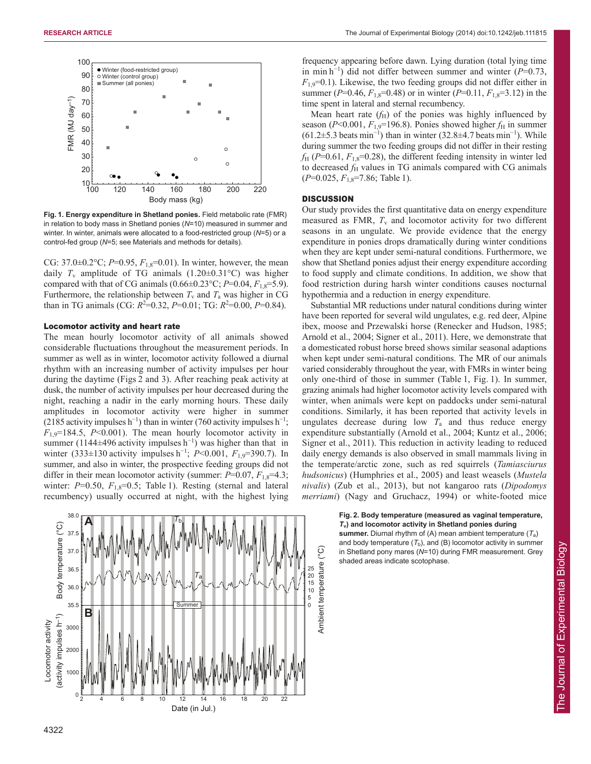

**Fig. 1. Energy expenditure in Shetland ponies.** Field metabolic rate (FMR) in relation to body mass in Shetland ponies (*N*=10) measured in summer and winter. In winter, animals were allocated to a food-restricted group (*N*=5) or a control-fed group (*N*=5; see Materials and methods for details).

CG:  $37.0 \pm 0.2$ °C;  $P=0.95$ ,  $F_{1,8}=0.01$ ). In winter, however, the mean daily  $T_v$  amplitude of TG animals  $(1.20 \pm 0.31 \degree C)$  was higher compared with that of CG animals (0.66±0.23°C;  $P=0.04$ ,  $F_{1,8}=5.9$ ). Furthermore, the relationship between  $T_v$  and  $T_a$  was higher in CG than in TG animals (CG:  $R^2 = 0.32$ ,  $P = 0.01$ ; TG:  $R^2 = 0.00$ ,  $P = 0.84$ ).

#### Locomotor activity and heart rate

The mean hourly locomotor activity of all animals showed considerable fluctuations throughout the measurement periods. In summer as well as in winter, locomotor activity followed a diurnal rhythm with an increasing number of activity impulses per hour during the daytime (Figs 2 and 3). After reaching peak activity at dusk, the number of activity impulses per hour decreased during the night, reaching a nadir in the early morning hours. These daily amplitudes in locomotor activity were higher in summer  $(2185$  activity impulses h<sup>-1</sup>) than in winter (760 activity impulses h<sup>-1</sup>;  $F_{1.9}$ =184.5, *P*<0.001). The mean hourly locomotor activity in summer (1144 $\pm$ 496 activity impulses h<sup>-1</sup>) was higher than that in winter (333±130 activity impulses h<sup>−</sup><sup>1</sup> ; *P*<0.001, *F*1,9=390.7). In summer, and also in winter, the prospective feeding groups did not differ in their mean locomotor activity (summer:  $P=0.07$ ,  $F_{1,8}=4.3$ ; winter:  $P=0.50$ ,  $F_{1,8}=0.5$ ; Table 1). Resting (sternal and lateral recumbency) usually occurred at night, with the highest lying



frequency appearing before dawn. Lying duration (total lying time in min h<sup>-1</sup>) did not differ between summer and winter  $(P=0.73)$ ,  $F_{1,9}=0.1$ ). Likewise, the two feeding groups did not differ either in summer ( $P=0.46$ ,  $F_{1,8}=0.48$ ) or in winter ( $P=0.11$ ,  $F_{1,8}=3.12$ ) in the time spent in lateral and sternal recumbency.

Mean heart rate  $(f_H)$  of the ponies was highly influenced by season ( $P<0.001$ ,  $F_{1,9}=196.8$ ). Ponies showed higher  $f_H$  in summer  $(61.2\pm5.3 \text{ beats min}^{-1})$  than in winter  $(32.8\pm4.7 \text{ beats min}^{-1})$ . While during summer the two feeding groups did not differ in their resting  $f_{\rm H}$  (*P*=0.61,  $F_{1,8}$ =0.28), the different feeding intensity in winter led to decreased  $f_{\rm H}$  values in TG animals compared with CG animals (*P*=0.025, *F*1,8=7.86; Table 1).

#### **DISCUSSION**

Our study provides the first quantitative data on energy expenditure measured as FMR,  $T_v$  and locomotor activity for two different seasons in an ungulate. We provide evidence that the energy expenditure in ponies drops dramatically during winter conditions when they are kept under semi-natural conditions. Furthermore, we show that Shetland ponies adjust their energy expenditure according to food supply and climate conditions. In addition, we show that food restriction during harsh winter conditions causes nocturnal hypothermia and a reduction in energy expenditure.

Substantial MR reductions under natural conditions during winter have been reported for several wild ungulates, e.g. red deer, Alpine ibex, moose and Przewalski horse (Renecker and Hudson, 1985; Arnold et al., 2004; Signer et al., 2011). Here, we demonstrate that a domesticated robust horse breed shows similar seasonal adaptions when kept under semi-natural conditions. The MR of our animals varied considerably throughout the year, with FMRs in winter being only one-third of those in summer (Table 1, Fig. 1). In summer, grazing animals had higher locomotor activity levels compared with winter, when animals were kept on paddocks under semi-natural conditions. Similarly, it has been reported that activity levels in ungulates decrease during low  $T_a$  and thus reduce energy expenditure substantially (Arnold et al., 2004; Kuntz et al., 2006; Signer et al., 2011). This reduction in activity leading to reduced daily energy demands is also observed in small mammals living in the temperate/arctic zone, such as red squirrels (*Tamiasciurus hudsonicus*) (Humphries et al., 2005) and least weasels (*Mustela nivalis*) (Zub et al., 2013), but not kangaroo rats (*Dipodomys merriami*) (Nagy and Gruchacz, 1994) or white-footed mice

#### **Fig. 2. Body temperature (measured as vaginal temperature,** *T***v) and locomotor activity in Shetland ponies during**

**summer.** Diurnal rhythm of (A) mean ambient temperature (*T*a) and body temperature  $(T_b)$ , and  $(B)$  locomotor activity in summer in Shetland pony mares (*N*=10) during FMR measurement. Grey shaded areas indicate scotophase.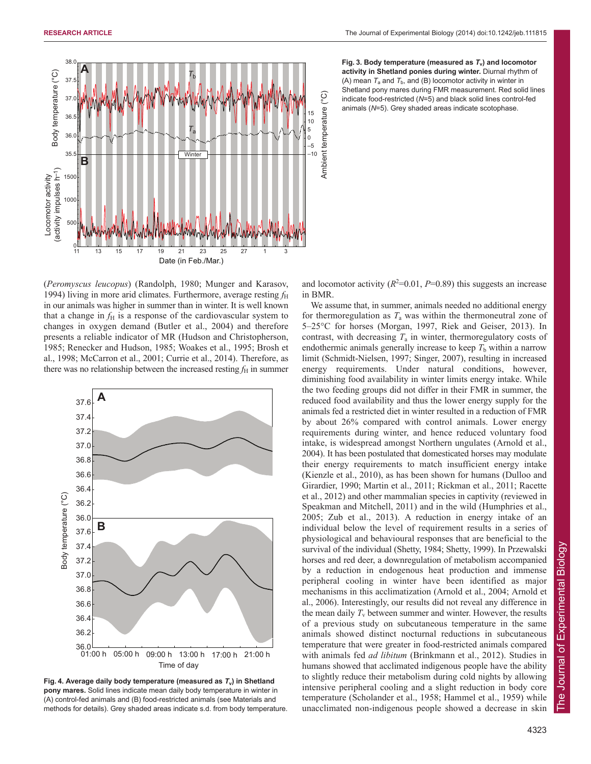

**Fig.** 3. Body temperature (measured as  $T_v$ ) and locomotor **activity in Shetland ponies during winter.** Diurnal rhythm of (A) mean  $T_a$  and  $T_b$ , and (B) locomotor activity in winter in Shetland pony mares during FMR measurement. Red solid lines indicate food-restricted (*N*=5) and black solid lines control-fed animals (*N*=5). Grey shaded areas indicate scotophase.

(*Peromyscus leucopus*) (Randolph, 1980; Munger and Karasov, 1994) living in more arid climates. Furthermore, average resting  $f_{\rm H}$ in our animals was higher in summer than in winter. It is well known that a change in  $f_{\rm H}$  is a response of the cardiovascular system to changes in oxygen demand (Butler et al., 2004) and therefore presents a reliable indicator of MR (Hudson and Christopherson, 1985; Renecker and Hudson, 1985; Woakes et al., 1995; Brosh et al., 1998; McCarron et al., 2001; Currie et al., 2014). Therefore, as there was no relationship between the increased resting  $f<sub>H</sub>$  in summer



**Fig. 4. Average daily body temperature (measured as** *T***v) in Shetland pony mares.** Solid lines indicate mean daily body temperature in winter in (A) control-fed animals and (B) food-restricted animals (see Materials and methods for details). Grey shaded areas indicate s.d. from body temperature.

and locomotor activity  $(R^2=0.01, P=0.89)$  this suggests an increase in BMR.

We assume that, in summer, animals needed no additional energy for thermoregulation as  $T_a$  was within the thermoneutral zone of 5–25°C for horses (Morgan, 1997, Riek and Geiser, 2013). In contrast, with decreasing  $T_a$  in winter, thermoregulatory costs of endothermic animals generally increase to keep  $T<sub>b</sub>$  within a narrow limit (Schmidt-Nielsen, 1997; Singer, 2007), resulting in increased energy requirements. Under natural conditions, however, diminishing food availability in winter limits energy intake. While the two feeding groups did not differ in their FMR in summer, the reduced food availability and thus the lower energy supply for the animals fed a restricted diet in winter resulted in a reduction of FMR by about 26% compared with control animals. Lower energy requirements during winter, and hence reduced voluntary food intake, is widespread amongst Northern ungulates (Arnold et al., 2004). It has been postulated that domesticated horses may modulate their energy requirements to match insufficient energy intake (Kienzle et al., 2010), as has been shown for humans (Dulloo and Girardier, 1990; Martin et al., 2011; Rickman et al., 2011; Racette et al., 2012) and other mammalian species in captivity (reviewed in Speakman and Mitchell, 2011) and in the wild (Humphries et al., 2005; Zub et al., 2013). A reduction in energy intake of an individual below the level of requirement results in a series of physiological and behavioural responses that are beneficial to the survival of the individual (Shetty, 1984; Shetty, 1999). In Przewalski horses and red deer, a downregulation of metabolism accompanied by a reduction in endogenous heat production and immense peripheral cooling in winter have been identified as major mechanisms in this acclimatization (Arnold et al., 2004; Arnold et al., 2006). Interestingly, our results did not reveal any difference in the mean daily  $T_v$  between summer and winter. However, the results of a previous study on subcutaneous temperature in the same animals showed distinct nocturnal reductions in subcutaneous temperature that were greater in food-restricted animals compared with animals fed *ad libitum* (Brinkmann et al., 2012). Studies in humans showed that acclimated indigenous people have the ability to slightly reduce their metabolism during cold nights by allowing intensive peripheral cooling and a slight reduction in body core temperature (Scholander et al., 1958; Hammel et al., 1959) while unacclimated non-indigenous people showed a decrease in skin

of Experimental Biology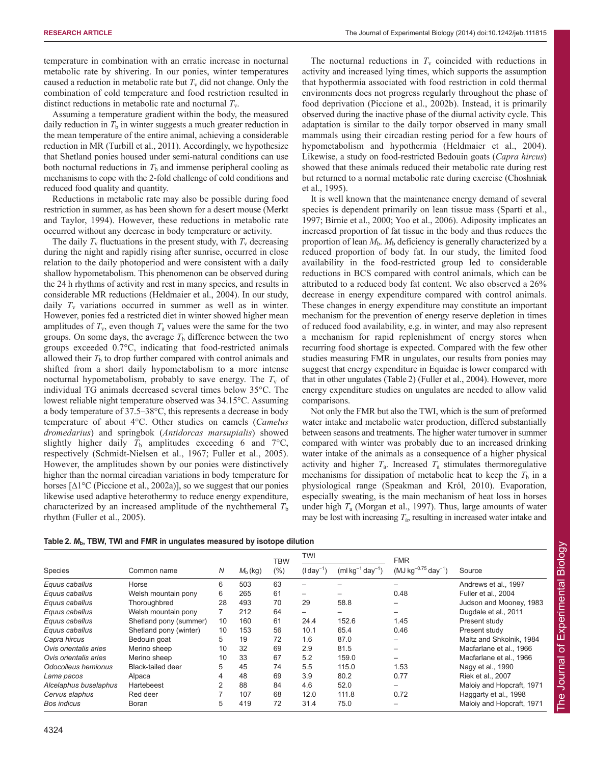temperature in combination with an erratic increase in nocturnal metabolic rate by shivering. In our ponies, winter temperatures caused a reduction in metabolic rate but  $T<sub>v</sub>$  did not change. Only the combination of cold temperature and food restriction resulted in distinct reductions in metabolic rate and nocturnal *T*v.

Assuming a temperature gradient within the body, the measured daily reduction in  $T<sub>b</sub>$  in winter suggests a much greater reduction in the mean temperature of the entire animal, achieving a considerable reduction in MR (Turbill et al., 2011). Accordingly, we hypothesize that Shetland ponies housed under semi-natural conditions can use both nocturnal reductions in  $T<sub>b</sub>$  and immense peripheral cooling as mechanisms to cope with the 2-fold challenge of cold conditions and reduced food quality and quantity.

Reductions in metabolic rate may also be possible during food restriction in summer, as has been shown for a desert mouse (Merkt and Taylor, 1994). However, these reductions in metabolic rate occurred without any decrease in body temperature or activity.

The daily  $T_v$  fluctuations in the present study, with  $T_v$  decreasing during the night and rapidly rising after sunrise, occurred in close relation to the daily photoperiod and were consistent with a daily shallow hypometabolism. This phenomenon can be observed during the 24 h rhythms of activity and rest in many species, and results in considerable MR reductions (Heldmaier et al., 2004). In our study, daily  $T_v$  variations occurred in summer as well as in winter. However, ponies fed a restricted diet in winter showed higher mean amplitudes of  $T_v$ , even though  $T_a$  values were the same for the two groups. On some days, the average  $T<sub>b</sub>$  difference between the two groups exceeded 0.7°C, indicating that food-restricted animals allowed their  $T<sub>b</sub>$  to drop further compared with control animals and shifted from a short daily hypometabolism to a more intense nocturnal hypometabolism, probably to save energy. The  $T_v$  of individual TG animals decreased several times below 35°C. The lowest reliable night temperature observed was 34.15°C. Assuming a body temperature of 37.5–38°C, this represents a decrease in body temperature of about 4°C. Other studies on camels (*Camelus dromedarius*) and springbok (*Antidorcas marsupialis*) showed slightly higher daily  $T<sub>b</sub>$  amplitudes exceeding 6 and  $7^{\circ}C$ , respectively (Schmidt-Nielsen et al., 1967; Fuller et al., 2005). However, the amplitudes shown by our ponies were distinctively higher than the normal circadian variations in body temperature for horses [∆1°C (Piccione et al., 2002a)], so we suggest that our ponies likewise used adaptive heterothermy to reduce energy expenditure, characterized by an increased amplitude of the nychthemeral  $T<sub>b</sub>$ rhythm (Fuller et al., 2005).

The nocturnal reductions in  $T_v$  coincided with reductions in activity and increased lying times, which supports the assumption that hypothermia associated with food restriction in cold thermal environments does not progress regularly throughout the phase of food deprivation (Piccione et al., 2002b). Instead, it is primarily observed during the inactive phase of the diurnal activity cycle. This adaptation is similar to the daily torpor observed in many small mammals using their circadian resting period for a few hours of hypometabolism and hypothermia (Heldmaier et al., 2004). Likewise, a study on food-restricted Bedouin goats (*Capra hircus*) showed that these animals reduced their metabolic rate during rest but returned to a normal metabolic rate during exercise (Choshniak et al., 1995).

It is well known that the maintenance energy demand of several species is dependent primarily on lean tissue mass (Sparti et al., 1997; Birnie et al., 2000; Yoo et al., 2006). Adiposity implicates an increased proportion of fat tissue in the body and thus reduces the proportion of lean  $M<sub>b</sub>$ .  $M<sub>b</sub>$  deficiency is generally characterized by a reduced proportion of body fat. In our study, the limited food availability in the food-restricted group led to considerable reductions in BCS compared with control animals, which can be attributed to a reduced body fat content. We also observed a 26% decrease in energy expenditure compared with control animals. These changes in energy expenditure may constitute an important mechanism for the prevention of energy reserve depletion in times of reduced food availability, e.g. in winter, and may also represent a mechanism for rapid replenishment of energy stores when recurring food shortage is expected. Compared with the few other studies measuring FMR in ungulates, our results from ponies may suggest that energy expenditure in Equidae is lower compared with that in other ungulates (Table 2) (Fuller et al., 2004). However, more energy expenditure studies on ungulates are needed to allow valid comparisons.

Not only the FMR but also the TWI, which is the sum of preformed water intake and metabolic water production, differed substantially between seasons and treatments. The higher water turnover in summer compared with winter was probably due to an increased drinking water intake of the animals as a consequence of a higher physical activity and higher  $T_a$ . Increased  $T_a$  stimulates thermoregulative mechanisms for dissipation of metabolic heat to keep the  $T<sub>b</sub>$  in a physiological range (Speakman and Król, 2010). Evaporation, especially sweating, is the main mechanism of heat loss in horses under high *T*<sup>a</sup> (Morgan et al., 1997). Thus, large amounts of water may be lost with increasing  $T_a$ , resulting in increased water intake and

|                       |                          |                |            | <b>TBW</b> | <b>TWI</b>               |                         | <b>FMR</b>                 |                           |
|-----------------------|--------------------------|----------------|------------|------------|--------------------------|-------------------------|----------------------------|---------------------------|
| Species               | Common name              | N              | $M_b$ (kg) | (%)        | $(l day^{-1})$           | $(ml kg^{-1} day^{-1})$ | $(MJ kg^{-0.75} day^{-1})$ | Source                    |
| Equus caballus        | Horse                    | 6              | 503        | 63         | -                        |                         |                            | Andrews et al., 1997      |
| Equus caballus        | Welsh mountain pony      | 6              | 265        | 61         | $\overline{\phantom{0}}$ |                         | 0.48                       | Fuller et al., 2004       |
| Equus caballus        | Thoroughbred             | 28             | 493        | 70         | 29                       | 58.8                    | -                          | Judson and Mooney, 1983   |
| Equus caballus        | Welsh mountain pony      |                | 212        | 64         | -                        |                         | -                          | Dugdale et al., 2011      |
| Equus caballus        | Shetland pony (summer)   | 10             | 160        | 61         | 24.4                     | 152.6                   | 1.45                       | Present study             |
| Equus caballus        | Shetland pony (winter)   | 10             | 153        | 56         | 10.1                     | 65.4                    | 0.46                       | Present study             |
| Capra hircus          | Bedouin goat             | 5              | 19         | 72         | 1.6                      | 87.0                    |                            | Maltz and Shkolnik, 1984  |
| Ovis orientalis aries | Merino sheep             | 10             | 32         | 69         | 2.9                      | 81.5                    | -                          | Macfarlane et al., 1966   |
| Ovis orientalis aries | Merino sheep             | 10             | 33         | 67         | 5.2                      | 159.0                   | -                          | Macfarlane et al., 1966   |
| Odocoileus hemionus   | <b>Black-tailed deer</b> | 5              | 45         | 74         | 5.5                      | 115.0                   | 1.53                       | Nagy et al., 1990         |
| Lama pacos            | Alpaca                   | 4              | 48         | 69         | 3.9                      | 80.2                    | 0.77                       | Riek et al., 2007         |
| Alcelaphus buselaphus | Hartebeest               | $\overline{2}$ | 88         | 84         | 4.6                      | 52.0                    | -                          | Maloiy and Hopcraft, 1971 |
| Cervus elaphus        | Red deer                 |                | 107        | 68         | 12.0                     | 111.8                   | 0.72                       | Haggarty et al., 1998     |
| <b>Bos indicus</b>    | Boran                    | 5              | 419        | 72         | 31.4                     | 75.0                    |                            | Maloiy and Hopcraft, 1971 |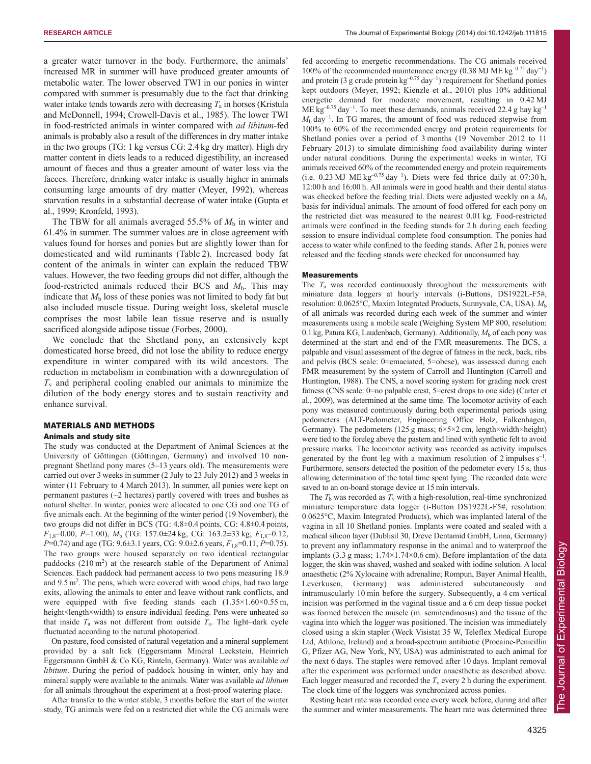a greater water turnover in the body. Furthermore, the animals' increased MR in summer will have produced greater amounts of metabolic water. The lower observed TWI in our ponies in winter compared with summer is presumably due to the fact that drinking water intake tends towards zero with decreasing  $T_a$  in horses (Kristula and McDonnell, 1994; Crowell-Davis et al., 1985). The lower TWI in food-restricted animals in winter compared with *ad libitum*-fed animals is probably also a result of the differences in dry matter intake in the two groups (TG: 1 kg versus CG: 2.4 kg dry matter). High dry matter content in diets leads to a reduced digestibility, an increased amount of faeces and thus a greater amount of water loss via the faeces. Therefore, drinking water intake is usually higher in animals consuming large amounts of dry matter (Meyer, 1992), whereas starvation results in a substantial decrease of water intake (Gupta et al., 1999; Kronfeld, 1993).

The TBW for all animals averaged 55.5% of  $M<sub>b</sub>$  in winter and 61.4% in summer. The summer values are in close agreement with values found for horses and ponies but are slightly lower than for domesticated and wild ruminants (Table 2). Increased body fat content of the animals in winter can explain the reduced TBW values. However, the two feeding groups did not differ, although the food-restricted animals reduced their BCS and  $M_b$ . This may indicate that  $M<sub>b</sub>$  loss of these ponies was not limited to body fat but also included muscle tissue. During weight loss, skeletal muscle comprises the most labile lean tissue reserve and is usually sacrificed alongside adipose tissue (Forbes, 2000).

We conclude that the Shetland pony, an extensively kept domesticated horse breed, did not lose the ability to reduce energy expenditure in winter compared with its wild ancestors. The reduction in metabolism in combination with a downregulation of *T*<sup>v</sup> and peripheral cooling enabled our animals to minimize the dilution of the body energy stores and to sustain reactivity and enhance survival.

# MATERIALS AND METHODS

#### Animals and study site

The study was conducted at the Department of Animal Sciences at the University of Göttingen (Göttingen, Germany) and involved 10 nonpregnant Shetland pony mares (5–13 years old). The measurements were carried out over 3 weeks in summer (2 July to 23 July 2012) and 3 weeks in winter (11 February to 4 March 2013). In summer, all ponies were kept on permanent pastures (~2 hectares) partly covered with trees and bushes as natural shelter. In winter, ponies were allocated to one CG and one TG of five animals each. At the beginning of the winter period (19 November), the two groups did not differ in BCS (TG: 4.8±0.4 points, CG: 4.8±0.4 points, *F*1,8=0.00, *P*=1.00), *M*<sup>b</sup> (TG: 157.0±24 kg, CG: 163.2±33 kg; *F*1,8=0.12, *P*=0.74) and age (TG: 9.6±3.1 years, CG: 9.0±2.6 years,  $F_{1,8}$ =0.11, *P*=0.75). The two groups were housed separately on two identical rectangular paddocks  $(210 \text{ m}^2)$  at the research stable of the Department of Animal Sciences. Each paddock had permanent access to two pens measuring 18.9 and  $9.5 \text{ m}^2$ . The pens, which were covered with wood chips, had two large exits, allowing the animals to enter and leave without rank conflicts, and were equipped with five feeding stands each  $(1.35 \times 1.60 \times 0.55 \text{ m})$ , height×length×width) to ensure individual feeding. Pens were unheated so that inside  $T_a$  was not different from outside  $T_a$ . The light–dark cycle fluctuated according to the natural photoperiod.

On pasture, food consisted of natural vegetation and a mineral supplement provided by a salt lick (Eggersmann Mineral Leckstein, Heinrich Eggersmann GmbH & Co KG, Rinteln, Germany). Water was available *ad libitum*. During the period of paddock housing in winter, only hay and mineral supply were available to the animals. Water was available *ad libitum* for all animals throughout the experiment at a frost-proof watering place.

After transfer to the winter stable, 3 months before the start of the winter study, TG animals were fed on a restricted diet while the CG animals were fed according to energetic recommendations. The CG animals received 100% of the recommended maintenance energy (0.38 MJ ME kg<sup>-0.75</sup> day<sup>-1</sup>) and protein (3 g crude protein  $\text{kg}^{-0.75}$  day<sup>-1</sup>) requirement for Shetland ponies kept outdoors (Meyer, 1992; Kienzle et al., 2010) plus 10% additional energetic demand for moderate movement, resulting in 0.42 MJ ME kg<sup>-0.75</sup> day<sup>-1</sup>. To meet these demands, animals received 22.4 g hay kg<sup>-1</sup> *M*<sub>b</sub> day<sup>-1</sup>. In TG mares, the amount of food was reduced stepwise from 100% to 60% of the recommended energy and protein requirements for Shetland ponies over a period of 3 months (19 November 2012 to 11 February 2013) to simulate diminishing food availability during winter under natural conditions. During the experimental weeks in winter, TG animals received 60% of the recommended energy and protein requirements (i.e. 0.23 MJ ME  $kg^{-0.75}$  day<sup>-1</sup>). Diets were fed thrice daily at 07:30 h, 12:00 h and 16:00 h. All animals were in good health and their dental status was checked before the feeding trial. Diets were adjusted weekly on a  $M<sub>b</sub>$ basis for individual animals. The amount of food offered for each pony on the restricted diet was measured to the nearest 0.01 kg. Food-restricted animals were confined in the feeding stands for 2 h during each feeding session to ensure individual complete food consumption. The ponies had access to water while confined to the feeding stands. After 2 h, ponies were released and the feeding stands were checked for unconsumed hay.

#### Measurements

The *T*<sup>a</sup> was recorded continuously throughout the measurements with miniature data loggers at hourly intervals (i-Buttons, DS1922L-F5#, resolution: 0.0625°C, Maxim Integrated Products, Sunnyvale, CA, USA). *M*<sup>b</sup> of all animals was recorded during each week of the summer and winter measurements using a mobile scale (Weighing System MP 800, resolution: 0.1 kg, Patura KG, Laudenbach, Germany). Additionally,  $M_b$  of each pony was determined at the start and end of the FMR measurements. The BCS, a palpable and visual assessment of the degree of fatness in the neck, back, ribs and pelvis (BCS scale: 0=emaciated, 5=obese), was assessed during each FMR measurement by the system of Carroll and Huntington (Carroll and Huntington, 1988). The CNS, a novel scoring system for grading neck crest fatness (CNS scale: 0=no palpable crest, 5=crest drops to one side) (Carter et al., 2009), was determined at the same time. The locomotor activity of each pony was measured continuously during both experimental periods using pedometers (ALT-Pedometer, Engineering Office Holz, Falkenhagen, Germany). The pedometers (125 g mass; 6×5×2 cm, length×width×height) were tied to the foreleg above the pastern and lined with synthetic felt to avoid pressure marks. The locomotor activity was recorded as activity impulses generated by the front leg with a maximum resolution of 2 impulses  $s^{-1}$ . Furthermore, sensors detected the position of the pedometer every 15 s, thus allowing determination of the total time spent lying. The recorded data were saved to an on-board storage device at 15 min intervals.

The  $T_b$  was recorded as  $T_v$  with a high-resolution, real-time synchronized miniature temperature data logger (i-Button DS1922L-F5#, resolution: 0.0625°C, Maxim Integrated Products), which was implanted lateral of the vagina in all 10 Shetland ponies. Implants were coated and sealed with a medical silicon layer (Dublisil 30, Dreve Dentamid GmbH, Unna, Germany) to prevent any inflammatory response in the animal and to waterproof the implants (3.3 g mass;  $1.74 \times 1.74 \times 0.6$  cm). Before implantation of the data logger, the skin was shaved, washed and soaked with iodine solution. A local anaesthetic (2% Xylocaine with adrenaline; Rompun, Bayer Animal Health, Leverkusen, Germany) was administered subcutaneously and intramuscularly 10 min before the surgery. Subsequently, a 4 cm vertical incision was performed in the vaginal tissue and a 6 cm deep tissue pocket was formed between the muscle (m. semitendinosus) and the tissue of the vagina into which the logger was positioned. The incision was immediately closed using a skin stapler (Weck Visistat 35 W, Teleflex Medical Europe Ltd, Athlone, Ireland) and a broad-spectrum antibiotic (Procaine-Penicillin G, Pfizer AG, New York, NY, USA) was administrated to each animal for the next 6 days. The staples were removed after 10 days. Implant removal after the experiment was performed under anaesthetic as described above. Each logger measured and recorded the  $T_v$  every 2 h during the experiment. The clock time of the loggers was synchronized across ponies.

Resting heart rate was recorded once every week before, during and after the summer and winter measurements. The heart rate was determined three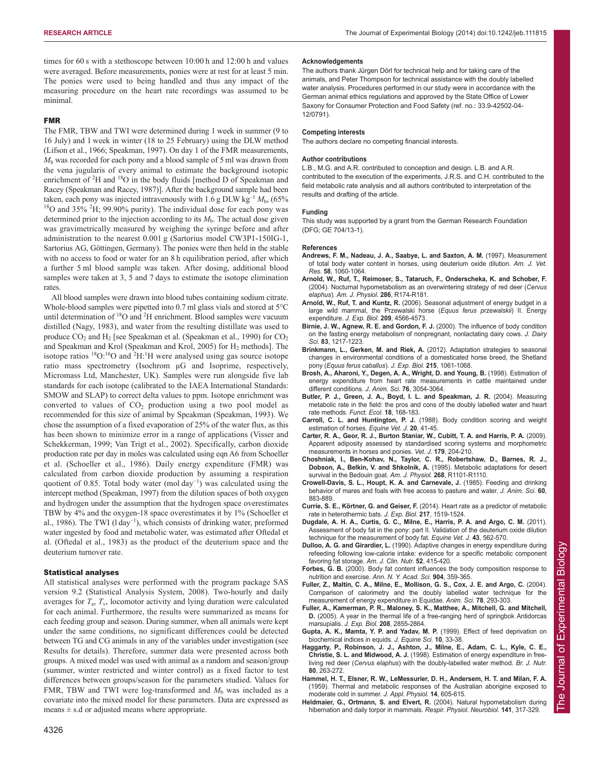times for 60 s with a stethoscope between 10:00 h and 12:00 h and values were averaged. Before measurements, ponies were at rest for at least 5 min. The ponies were used to being handled and thus any impact of the measuring procedure on the heart rate recordings was assumed to be minimal.

#### FMR

The FMR, TBW and TWI were determined during 1 week in summer (9 to 16 July) and 1 week in winter (18 to 25 February) using the DLW method (Lifson et al., 1966; Speakman, 1997). On day 1 of the FMR measurements, *M*<sup>b</sup> was recorded for each pony and a blood sample of 5 ml was drawn from the vena jugularis of every animal to estimate the background isotopic enrichment of  ${}^{2}H$  and  ${}^{18}O$  in the body fluids [method D of Speakman and Racey (Speakman and Racey, 1987)]. After the background sample had been taken, each pony was injected intravenously with  $1.6$  g DLW kg<sup>-1</sup>  $M<sub>b</sub>$ , (65% <sup>18</sup>O and 35% <sup>2</sup>H; 99.90% purity). The individual dose for each pony was determined prior to the injection according to its  $M<sub>b</sub>$ . The actual dose given was gravimetrically measured by weighing the syringe before and after administration to the nearest 0.001 g (Sartorius model CW3P1-150IG-1, Sartorius AG, Göttingen, Germany). The ponies were then held in the stable with no access to food or water for an 8 h equilibration period, after which a further 5 ml blood sample was taken. After dosing, additional blood samples were taken at 3, 5 and 7 days to estimate the isotope elimination rates

All blood samples were drawn into blood tubes containing sodium citrate. Whole-blood samples were pipetted into 0.7 ml glass vials and stored at 5°C until determination of  $^{18}O$  and  $^{2}H$  enrichment. Blood samples were vacuum distilled (Nagy, 1983), and water from the resulting distillate was used to produce CO<sub>2</sub> and H<sub>2</sub> [see Speakman et al. (Speakman et al., 1990) for CO<sub>2</sub> and Speakman and Krol (Speakman and Krol, 2005) for  $H_2$  methods]. The isotope ratios  ${}^{18}O$ :  ${}^{16}O$  and  ${}^{2}H$ : H were analysed using gas source isotope ratio mass spectrometry (Isochrom μG and Isoprime, respectively, Micromass Ltd, Manchester, UK). Samples were run alongside five lab standards for each isotope (calibrated to the IAEA International Standards: SMOW and SLAP) to correct delta values to ppm. Isotope enrichment was converted to values of  $CO<sub>2</sub>$  production using a two pool model as recommended for this size of animal by Speakman (Speakman, 1993). We chose the assumption of a fixed evaporation of 25% of the water flux, as this has been shown to minimize error in a range of applications (Visser and Schekkerman, 1999; Van Trigt et al., 2002). Specifically, carbon dioxide production rate per day in moles was calculated using eqn A6 from Schoeller et al. (Schoeller et al., 1986). Daily energy expenditure (FMR) was calculated from carbon dioxide production by assuming a respiration quotient of 0.85. Total body water (mol day<sup>-1</sup>) was calculated using the intercept method (Speakman, 1997) from the dilution spaces of both oxygen and hydrogen under the assumption that the hydrogen space overestimates TBW by 4% and the oxygen-18 space overestimates it by 1% (Schoeller et al., 1986). The TWI (l day<sup>-1</sup>), which consists of drinking water, preformed water ingested by food and metabolic water, was estimated after Oftedal et al. (Oftedal et al., 1983) as the product of the deuterium space and the deuterium turnover rate.

#### Statistical analyses

All statistical analyses were performed with the program package SAS version 9.2 (Statistical Analysis System, 2008). Two-hourly and daily averages for  $T_a$ ,  $T_v$ , locomotor activity and lying duration were calculated for each animal. Furthermore, the results were summarized as means for each feeding group and season. During summer, when all animals were kept under the same conditions, no significant differences could be detected between TG and CG animals in any of the variables under investigation (see Results for details). Therefore, summer data were presented across both groups. A mixed model was used with animal as a random and season/group (summer, winter restricted and winter control) as a fixed factor to test differences between groups/season for the parameters studied. Values for FMR, TBW and TWI were log-transformed and  $M<sub>b</sub>$  was included as a covariate into the mixed model for these parameters. Data are expressed as means  $\pm$  s.d or adjusted means where appropriate.

#### **Acknowledgements**

The authors thank Jürgen Dörl for technical help and for taking care of the animals, and Peter Thompson for technical assistance with the doubly labelled water analysis. Procedures performed in our study were in accordance with the German animal ethics regulations and approved by the State Office of Lower Saxony for Consumer Protection and Food Safety (ref. no.: 33.9-42502-04- 12/0791).

#### **Competing interests**

The authors declare no competing financial interests.

#### **Author contributions**

L.B., M.G. and A.R. contributed to conception and design. L.B. and A.R. contributed to the execution of the experiments, J.R.S. and C.H. contributed to the field metabolic rate analysis and all authors contributed to interpretation of the results and drafting of the article.

#### **Funding**

This study was supported by a grant from the German Research Foundation (DFG; GE 704/13-1).

#### **References**

- **Andrews, F. M., Nadeau, J. A., Saabye, L. and Saxton, A. M.** (1997). Measurement of total body water content in horses, using deuterium oxide dilution. *Am. J. Vet. Res.* **58**, 1060-1064.
- **Arnold, W., Ruf, T., Reimoser, S., Tataruch, F., Onderscheka, K. and Schober, F.** (2004). Nocturnal hypometabolism as an overwintering strategy of red deer (*Cervus elaphus*). *Am. J. Physiol.* **286**, R174-R181.
- **Arnold, W., Ruf, T. and Kuntz, R.** (2006). Seasonal adjustment of energy budget in a large wild mammal, the Przewalski horse (*Equus ferus przewalskii*) II. Energy expenditure. *J. Exp. Biol.* **209**, 4566-4573.
- **Birnie, J. W., Agnew, R. E. and Gordon, F. J.** (2000). The influence of body condition on the fasting energy metabolism of nonpregnant, nonlactating dairy cows. *J. Dairy Sci.* **83**, 1217-1223.
- **Brinkmann, L., Gerken, M. and Riek, A.** (2012). Adaptation strategies to seasonal changes in environmental conditions of a domesticated horse breed, the Shetland pony (*Equus ferus caballus*). *J. Exp. Biol.* **215**, 1061-1068.
- **Brosh, A., Aharoni, Y., Degen, A. A., Wright, D. and Young, B.** (1998). Estimation of energy expenditure from heart rate measurements in cattle maintained under different conditions. *J. Anim. Sci.* **76**, 3054-3064.
- **Butler, P. J., Green, J. A., Boyd, I. L. and Speakman, J. R.** (2004). Measuring metabolic rate in the field: the pros and cons of the doubly labelled water and heart rate methods. *Funct. Ecol.* **18**, 168-183.
- **Carroll, C. L. and Huntington, P. J.** (1988). Body condition scoring and weight estimation of horses. *Equine Vet. J.* **20**, 41-45.
- **Carter, R. A., Geor, R. J., Burton Staniar, W., Cubitt, T. A. and Harris, P. A.** (2009). Apparent adiposity assessed by standardised scoring systems and morphometric measurements in horses and ponies. *Vet. J.* **179**, 204-210.
- **Choshniak, I., Ben-Kohav, N., Taylor, C. R., Robertshaw, D., Barnes, R. J., Dobson, A., Belkin, V. and Shkolnik, A.** (1995). Metabolic adaptations for desert survival in the Bedouin goat. *Am. J. Physiol.* **268**, R1101-R1110.
- **Crowell-Davis, S. L., Houpt, K. A. and Carnevale, J.** (1985). Feeding and drinking behavior of mares and foals with free access to pasture and water. *J. Anim. Sci.* **60**, 883-889.
- **Currie, S. E., Körtner, G. and Geiser, F.** (2014). Heart rate as a predictor of metabolic rate in heterothermic bats. *J. Exp. Biol.* **217**, 1519-1524.
- **Dugdale, A. H. A., Curtis, G. C., Milne, E., Harris, P. A. and Argo, C. M.** (2011). Assessment of body fat in the pony: part II. Validation of the deuterium oxide dilution technique for the measurement of body fat. *Equine Vet. J.* **43**, 562-570.
- **Dulloo, A. G. and Girardier, L.** (1990). Adaptive changes in energy expenditure during refeeding following low-calorie intake: evidence for a specific metabolic component favoring fat storage. *Am. J. Clin. Nutr.* **52**, 415-420.
- **Forbes, G. B.** (2000). Body fat content influences the body composition response to nutrition and exercise. *Ann. N. Y. Acad. Sci.* **904**, 359-365.
- **Fuller, Z., Maltin, C. A., Milne, E., Mollison, G. S., Cox, J. E. and Argo, C.** (2004). Comparison of calorimetry and the doubly labelled water technique for the measurement of energy expenditure in Equidae. *Anim. Sci.* **78**, 293-303.
- **Fuller, A., Kamerman, P. R., Maloney, S. K., Matthee, A., Mitchell, G. and Mitchell, D.** (2005). A year in the thermal life of a free-ranging herd of springbok Antidorcas marsupialis. *J. Exp. Biol.* **208**, 2855-2864.
- **Gupta, A. K., Mamta, Y. P. and Yadav, M. P.** (1999). Effect of feed deprivation on biochemical indices in equids. *J. Equine Sci.* **10**, 33-38.
- **Haggarty, P., Robinson, J. J., Ashton, J., Milne, E., Adam, C. L., Kyle, C. E., Christie, S. L. and Midwood, A. J.** (1998). Estimation of energy expenditure in freeliving red deer (*Cervus elaphus*) with the doubly-labelled water method. *Br. J. Nutr.* **80**, 263-272.
- **Hammel, H. T., Elsner, R. W., LeMessurier, D. H., Andersem, H. T. and Milan, F. A.** (1959). Thermal and metabolic responses of the Australian aborigine exposed to moderate cold in summer. *J. Appl. Physiol.* **14**, 605-615.
- **Heldmaier, G., Ortmann, S. and Elvert, R.** (2004). Natural hypometabolism during hibernation and daily torpor in mammals. *Respir. Physiol. Neurobiol.* **141**, 317-329.